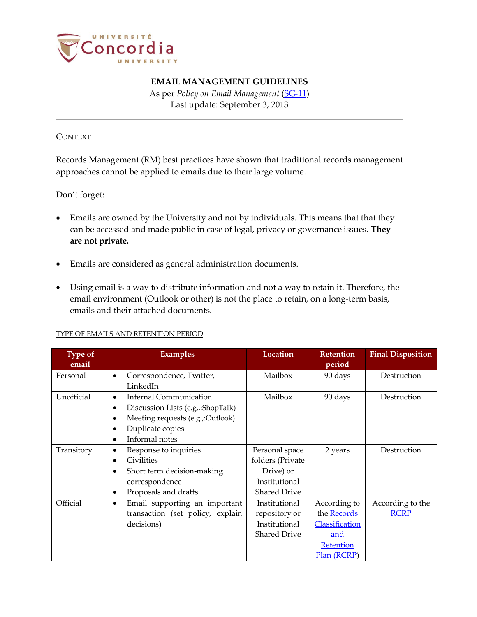

### **EMAIL MANAGEMENT GUIDELINES**

As per *Policy on Email Management* [\(SG-11\)](https://cspace.concordia.ca/content/dam/common/docs/policies/official-policies/SG-11.pdf) Last update: September 3, 2013

#### **CONTEXT**

Records Management (RM) best practices have shown that traditional records management approaches cannot be applied to emails due to their large volume.

Don't forget:

- Emails are owned by the University and not by individuals. This means that that they can be accessed and made public in case of legal, privacy or governance issues. **They are not private.**
- Emails are considered as general administration documents.
- Using email is a way to distribute information and not a way to retain it. Therefore, the email environment (Outlook or other) is not the place to retain, on a long-term basis, emails and their attached documents.

#### TYPE OF EMAILS AND RETENTION PERIOD

| Type of<br>email | <b>Examples</b>                                | Location            | <b>Retention</b><br>period | <b>Final Disposition</b> |
|------------------|------------------------------------------------|---------------------|----------------------------|--------------------------|
| Personal         | Correspondence, Twitter,<br>$\bullet$          | Mailbox             | 90 days                    | Destruction              |
|                  | LinkedIn                                       |                     |                            |                          |
| Unofficial       | <b>Internal Communication</b><br>$\bullet$     | Mailbox             | 90 days                    | Destruction              |
|                  | Discussion Lists (e.g.,:ShopTalk)<br>$\bullet$ |                     |                            |                          |
|                  | Meeting requests (e.g.,:Outlook)<br>$\bullet$  |                     |                            |                          |
|                  | Duplicate copies<br>$\bullet$                  |                     |                            |                          |
|                  | Informal notes<br>$\bullet$                    |                     |                            |                          |
| Transitory       | Response to inquiries<br>٠                     | Personal space      | 2 years                    | Destruction              |
|                  | Civilities<br>$\bullet$                        | folders (Private    |                            |                          |
|                  | Short term decision-making<br>$\bullet$        | Drive) or           |                            |                          |
|                  | correspondence                                 | Institutional       |                            |                          |
|                  | Proposals and drafts<br>٠                      | <b>Shared Drive</b> |                            |                          |
| Official         | Email supporting an important<br>$\bullet$     | Institutional       | According to               | According to the         |
|                  | transaction (set policy, explain               | repository or       | the <b>Records</b>         | <b>RCRP</b>              |
|                  | decisions)                                     | Institutional       | Classification             |                          |
|                  |                                                | <b>Shared Drive</b> | and                        |                          |
|                  |                                                |                     | Retention                  |                          |
|                  |                                                |                     | Plan (RCRP)                |                          |